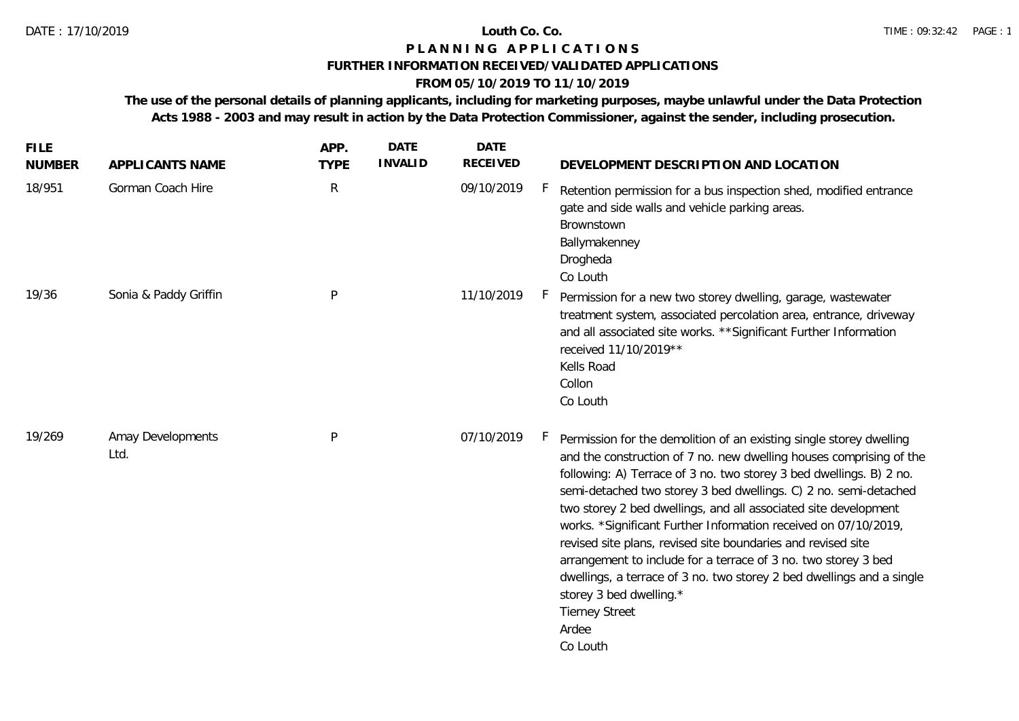## **FURTHER INFORMATION RECEIVED/VALIDATED APPLICATIONS**

# **FROM 05/10/2019 TO 11/10/2019**

**The use of the personal details of planning applicants, including for marketing purposes, maybe unlawful under the Data Protection Acts 1988 - 2003 and may result in action by the Data Protection Commissioner, against the sender, including prosecution.**

| <b>FILE</b><br><b>NUMBER</b> | APPLICANTS NAME           | APP.<br><b>TYPE</b> | <b>DATE</b><br><b>INVALID</b> | <b>DATE</b><br><b>RECEIVED</b> | DEVELOPMENT DESCRIPTION AND LOCATION                                                                                                                                                                                                                                                                                                                                                                                                                                                                                                                                                                                                                                                                            |
|------------------------------|---------------------------|---------------------|-------------------------------|--------------------------------|-----------------------------------------------------------------------------------------------------------------------------------------------------------------------------------------------------------------------------------------------------------------------------------------------------------------------------------------------------------------------------------------------------------------------------------------------------------------------------------------------------------------------------------------------------------------------------------------------------------------------------------------------------------------------------------------------------------------|
| 18/951                       | Gorman Coach Hire         | ${\sf R}$           |                               | 09/10/2019                     | Retention permission for a bus inspection shed, modified entrance<br>gate and side walls and vehicle parking areas.<br>Brownstown<br>Ballymakenney<br>Drogheda<br>Co Louth                                                                                                                                                                                                                                                                                                                                                                                                                                                                                                                                      |
| 19/36                        | Sonia & Paddy Griffin     | P                   |                               | 11/10/2019                     | Permission for a new two storey dwelling, garage, wastewater<br>treatment system, associated percolation area, entrance, driveway<br>and all associated site works. ** Significant Further Information<br>received 11/10/2019**<br>Kells Road<br>Collon<br>Co Louth                                                                                                                                                                                                                                                                                                                                                                                                                                             |
| 19/269                       | Amay Developments<br>Ltd. | P                   |                               | 07/10/2019                     | Permission for the demolition of an existing single storey dwelling<br>and the construction of 7 no. new dwelling houses comprising of the<br>following: A) Terrace of 3 no. two storey 3 bed dwellings. B) 2 no.<br>semi-detached two storey 3 bed dwellings. C) 2 no. semi-detached<br>two storey 2 bed dwellings, and all associated site development<br>works. *Significant Further Information received on 07/10/2019,<br>revised site plans, revised site boundaries and revised site<br>arrangement to include for a terrace of 3 no. two storey 3 bed<br>dwellings, a terrace of 3 no. two storey 2 bed dwellings and a single<br>storey 3 bed dwelling.*<br><b>Tierney Street</b><br>Ardee<br>Co Louth |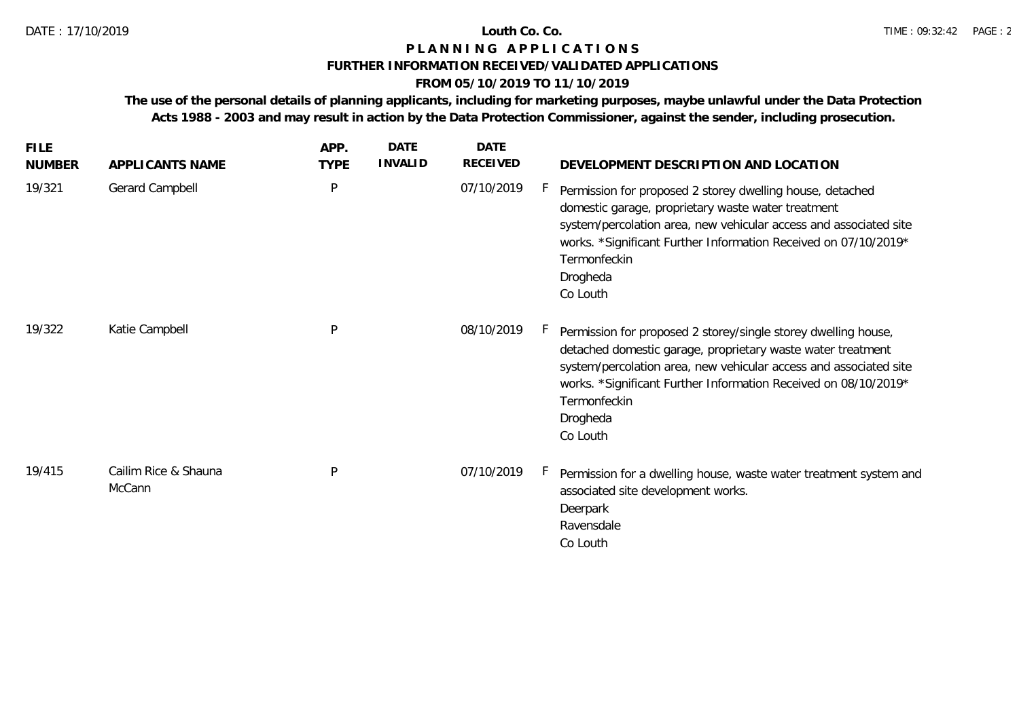## **FURTHER INFORMATION RECEIVED/VALIDATED APPLICATIONS**

# **FROM 05/10/2019 TO 11/10/2019**

**The use of the personal details of planning applicants, including for marketing purposes, maybe unlawful under the Data Protection Acts 1988 - 2003 and may result in action by the Data Protection Commissioner, against the sender, including prosecution.**

| <b>FILE</b><br><b>NUMBER</b> | APPLICANTS NAME                | APP.<br><b>TYPE</b> | <b>DATE</b><br><b>INVALID</b> | <b>DATE</b><br>RECEIVED | DEVELOPMENT DESCRIPTION AND LOCATION                                                                                                                                                                                                                                                                          |
|------------------------------|--------------------------------|---------------------|-------------------------------|-------------------------|---------------------------------------------------------------------------------------------------------------------------------------------------------------------------------------------------------------------------------------------------------------------------------------------------------------|
| 19/321                       | <b>Gerard Campbell</b>         | P                   |                               | 07/10/2019              | Permission for proposed 2 storey dwelling house, detached<br>domestic garage, proprietary waste water treatment<br>system/percolation area, new vehicular access and associated site<br>works. *Significant Further Information Received on 07/10/2019*<br>Termonfeckin<br>Drogheda<br>Co Louth               |
| 19/322                       | Katie Campbell                 | P                   |                               | 08/10/2019              | Permission for proposed 2 storey/single storey dwelling house,<br>detached domestic garage, proprietary waste water treatment<br>system/percolation area, new vehicular access and associated site<br>works. *Significant Further Information Received on 08/10/2019*<br>Termonfeckin<br>Drogheda<br>Co Louth |
| 19/415                       | Cailim Rice & Shauna<br>McCann | P                   |                               | 07/10/2019              | Permission for a dwelling house, waste water treatment system and<br>associated site development works.<br>Deerpark<br>Ravensdale<br>Co Louth                                                                                                                                                                 |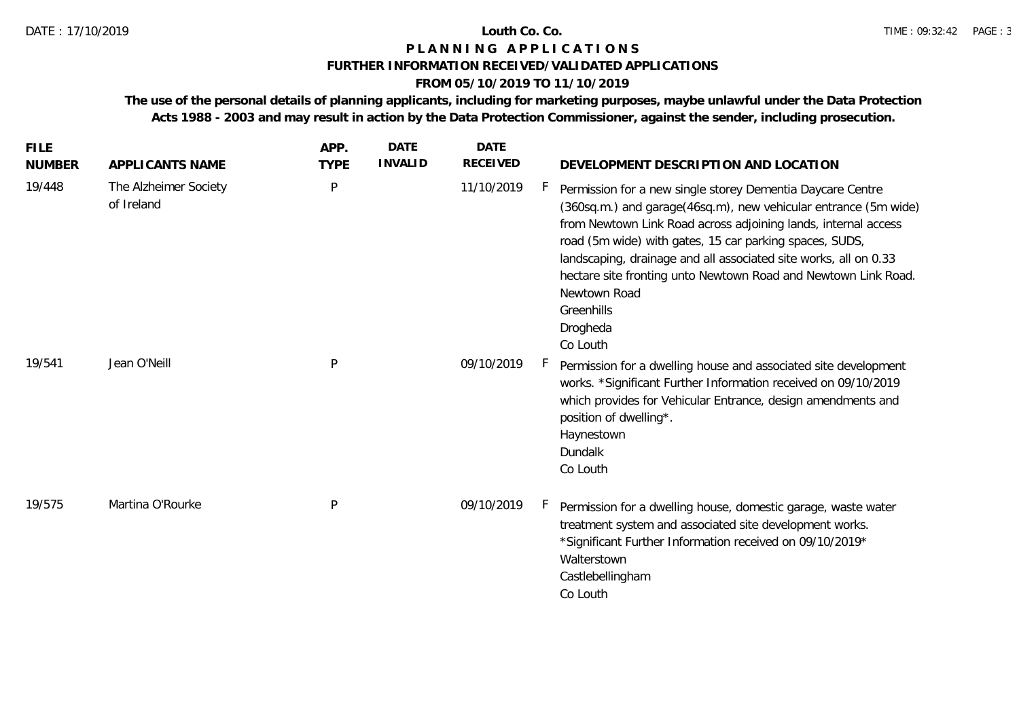## **FURTHER INFORMATION RECEIVED/VALIDATED APPLICATIONS**

# **FROM 05/10/2019 TO 11/10/2019**

**The use of the personal details of planning applicants, including for marketing purposes, maybe unlawful under the Data Protection Acts 1988 - 2003 and may result in action by the Data Protection Commissioner, against the sender, including prosecution.**

| <b>FILE</b><br><b>NUMBER</b> | APPLICANTS NAME                     | APP.<br><b>TYPE</b> | <b>DATE</b><br><b>INVALID</b> | <b>DATE</b><br><b>RECEIVED</b> | DEVELOPMENT DESCRIPTION AND LOCATION                                                                                                                                                                                                                                                                                                                                                                                                                   |
|------------------------------|-------------------------------------|---------------------|-------------------------------|--------------------------------|--------------------------------------------------------------------------------------------------------------------------------------------------------------------------------------------------------------------------------------------------------------------------------------------------------------------------------------------------------------------------------------------------------------------------------------------------------|
| 19/448                       | The Alzheimer Society<br>of Ireland | P                   |                               | 11/10/2019                     | Permission for a new single storey Dementia Daycare Centre<br>(360sq.m.) and garage(46sq.m), new vehicular entrance (5m wide)<br>from Newtown Link Road across adjoining lands, internal access<br>road (5m wide) with gates, 15 car parking spaces, SUDS,<br>landscaping, drainage and all associated site works, all on 0.33<br>hectare site fronting unto Newtown Road and Newtown Link Road.<br>Newtown Road<br>Greenhills<br>Drogheda<br>Co Louth |
| 19/541                       | Jean O'Neill                        | $\sf P$             |                               | 09/10/2019                     | H.<br>Permission for a dwelling house and associated site development<br>works. *Significant Further Information received on 09/10/2019<br>which provides for Vehicular Entrance, design amendments and<br>position of dwelling*.<br>Haynestown<br>Dundalk<br>Co Louth                                                                                                                                                                                 |
| 19/575                       | Martina O'Rourke                    | P                   |                               | 09/10/2019                     | Permission for a dwelling house, domestic garage, waste water<br>Н.<br>treatment system and associated site development works.<br>*Significant Further Information received on 09/10/2019*<br>Walterstown<br>Castlebellingham<br>Co Louth                                                                                                                                                                                                              |